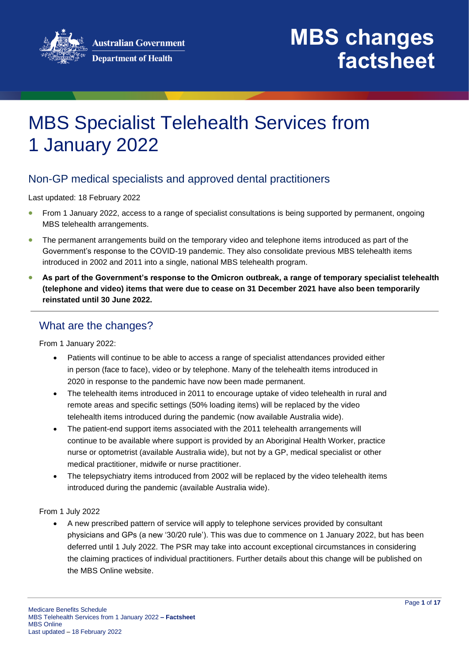

## MBS Specialist Telehealth Services from 1 January 2022

### Non-GP medical specialists and approved dental practitioners

Last updated: 18 February 2022

- From 1 January 2022, access to a range of specialist consultations is being supported by permanent, ongoing MBS telehealth arrangements.
- The permanent arrangements build on the temporary video and telephone items introduced as part of the Government's response to the COVID-19 pandemic. They also consolidate previous MBS telehealth items introduced in 2002 and 2011 into a single, national MBS telehealth program.
- **As part of the Government's response to the Omicron outbreak, a range of temporary specialist telehealth (telephone and video) items that were due to cease on 31 December 2021 have also been temporarily reinstated until 30 June 2022.**

### What are the changes?

From 1 January 2022:

- Patients will continue to be able to access a range of specialist attendances provided either in person (face to face), video or by telephone. Many of the telehealth items introduced in 2020 in response to the pandemic have now been made permanent.
- The telehealth items introduced in 2011 to encourage uptake of video telehealth in rural and remote areas and specific settings (50% loading items) will be replaced by the video telehealth items introduced during the pandemic (now available Australia wide).
- The patient-end support items associated with the 2011 telehealth arrangements will continue to be available where support is provided by an Aboriginal Health Worker, practice nurse or optometrist (available Australia wide), but not by a GP, medical specialist or other medical practitioner, midwife or nurse practitioner.
- The telepsychiatry items introduced from 2002 will be replaced by the video telehealth items introduced during the pandemic (available Australia wide).

#### From 1 July 2022

• A new prescribed pattern of service will apply to telephone services provided by consultant physicians and GPs (a new '30/20 rule'). This was due to commence on 1 January 2022, but has been deferred until 1 July 2022. The PSR may take into account exceptional circumstances in considering the claiming practices of individual practitioners. Further details about this change will be published on the MBS Online website.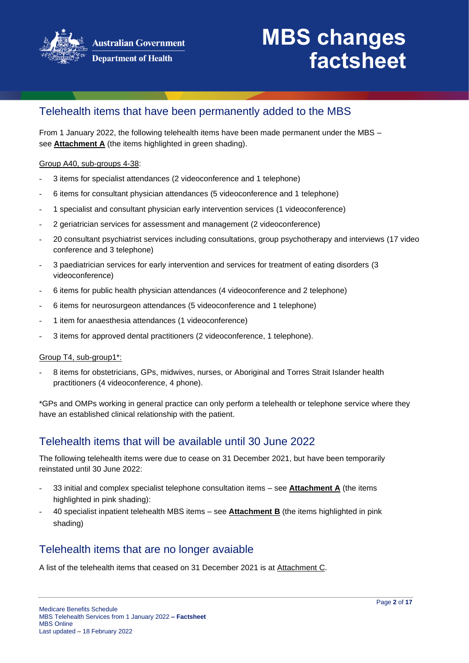

### Telehealth items that have been permanently added to the MBS

From 1 January 2022, the following telehealth items have been made permanent under the MBS – see **Attachment A** (the items highlighted in green shading).

#### Group A40, sub-groups 4-38:

- 3 items for specialist attendances (2 videoconference and 1 telephone)
- 6 items for consultant physician attendances (5 videoconference and 1 telephone)
- 1 specialist and consultant physician early intervention services (1 videoconference)
- 2 geriatrician services for assessment and management (2 videoconference)
- 20 consultant psychiatrist services including consultations, group psychotherapy and interviews (17 video conference and 3 telephone)
- 3 paediatrician services for early intervention and services for treatment of eating disorders (3 videoconference)
- 6 items for public health physician attendances (4 videoconference and 2 telephone)
- 6 items for neurosurgeon attendances (5 videoconference and 1 telephone)
- 1 item for anaesthesia attendances (1 videoconference)
- 3 items for approved dental practitioners (2 videoconference, 1 telephone).

#### Group T4, sub-group1\*:

- 8 items for obstetricians, GPs, midwives, nurses, or Aboriginal and Torres Strait Islander health practitioners (4 videoconference, 4 phone).

\*GPs and OMPs working in general practice can only perform a telehealth or telephone service where they have an established clinical relationship with the patient.

### Telehealth items that will be available until 30 June 2022

The following telehealth items were due to cease on 31 December 2021, but have been temporarily reinstated until 30 June 2022:

- 33 initial and complex specialist telephone consultation items see **Attachment A** (the items highlighted in pink shading):
- 40 specialist inpatient telehealth MBS items see **Attachment B** (the items highlighted in pink shading)

### Telehealth items that are no longer avaiable

A list of the telehealth items that ceased on 31 December 2021 is at Attachment C.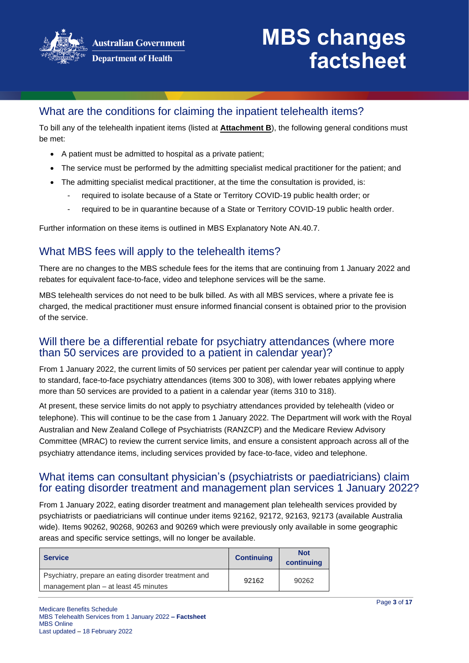

### What are the conditions for claiming the inpatient telehealth items?

To bill any of the telehealth inpatient items (listed at **Attachment B**), the following general conditions must be met:

- A patient must be admitted to hospital as a private patient;
- The service must be performed by the admitting specialist medical practitioner for the patient; and
- The admitting specialist medical practitioner, at the time the consultation is provided, is:
	- required to isolate because of a State or Territory COVID-19 public health order; or
	- required to be in quarantine because of a State or Territory COVID-19 public health order.

Further information on these items is outlined in MBS Explanatory Note AN.40.7.

### What MBS fees will apply to the telehealth items?

There are no changes to the MBS schedule fees for the items that are continuing from 1 January 2022 and rebates for equivalent face-to-face, video and telephone services will be the same.

MBS telehealth services do not need to be bulk billed. As with all MBS services, where a private fee is charged, the medical practitioner must ensure informed financial consent is obtained prior to the provision of the service.

### Will there be a differential rebate for psychiatry attendances (where more than 50 services are provided to a patient in calendar year)?

From 1 January 2022, the current limits of 50 services per patient per calendar year will continue to apply to standard, face-to-face psychiatry attendances (items 300 to 308), with lower rebates applying where more than 50 services are provided to a patient in a calendar year (items 310 to 318).

At present, these service limits do not apply to psychiatry attendances provided by telehealth (video or telephone). This will continue to be the case from 1 January 2022. The Department will work with the Royal Australian and New Zealand College of Psychiatrists (RANZCP) and the Medicare Review Advisory Committee (MRAC) to review the current service limits, and ensure a consistent approach across all of the psychiatry attendance items, including services provided by face-to-face, video and telephone.

### What items can consultant physician's (psychiatrists or paediatricians) claim for eating disorder treatment and management plan services 1 January 2022?

From 1 January 2022, eating disorder treatment and management plan telehealth services provided by psychiatrists or paediatricians will continue under items 92162, 92172, 92163, 92173 (available Australia wide). Items 90262, 90268, 90263 and 90269 which were previously only available in some geographic areas and specific service settings, will no longer be available.

| <b>Service</b>                                       | <b>Continuing</b> | <b>Not</b><br>continuing |
|------------------------------------------------------|-------------------|--------------------------|
| Psychiatry, prepare an eating disorder treatment and | 92162             | 90262                    |
| management plan – at least 45 minutes                |                   |                          |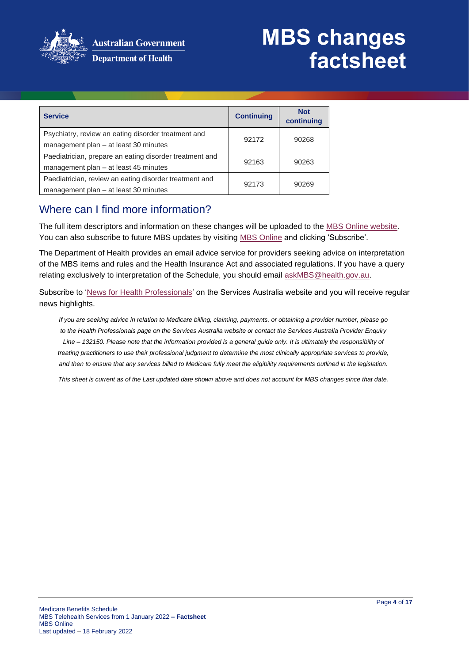

| <b>Service</b>                                                                                   | <b>Continuing</b> | <b>Not</b><br>continuing |
|--------------------------------------------------------------------------------------------------|-------------------|--------------------------|
| Psychiatry, review an eating disorder treatment and<br>management plan - at least 30 minutes     | 92172             | 90268                    |
| Paediatrician, prepare an eating disorder treatment and<br>management plan – at least 45 minutes | 92163             | 90263                    |
| Paediatrician, review an eating disorder treatment and<br>management plan - at least 30 minutes  | 92173             | 90269                    |

### Where can I find more information?

The full item descriptors and information on these changes will be uploaded to the MBS [Online website.](http://www.mbsonline.gov.au/) You can also subscribe to future MBS updates by visiting [MBS Online](http://www.mbsonline.gov.au/) and clicking 'Subscribe'.

The Department of Health provides an email advice service for providers seeking advice on interpretation of the MBS items and rules and the Health Insurance Act and associated regulations. If you have a query relating exclusively to interpretation of the Schedule, you should email [askMBS@health.gov.au.](mailto:askMBS@health.gov.au)

Subscribe to ['News for Health Professionals'](https://www.humanservices.gov.au/organisations/health-professionals/news/all) on the Services Australia website and you will receive regular news highlights.

*If you are seeking advice in relation to Medicare billing, claiming, payments, or obtaining a provider number, please go to the Health Professionals page on the Services Australia website or contact the Services Australia Provider Enquiry Line – 132150. Please note that the information provided is a general guide only. It is ultimately the responsibility of treating practitioners to use their professional judgment to determine the most clinically appropriate services to provide, and then to ensure that any services billed to Medicare fully meet the eligibility requirements outlined in the legislation.*

*This sheet is current as of the Last updated date shown above and does not account for MBS changes since that date.*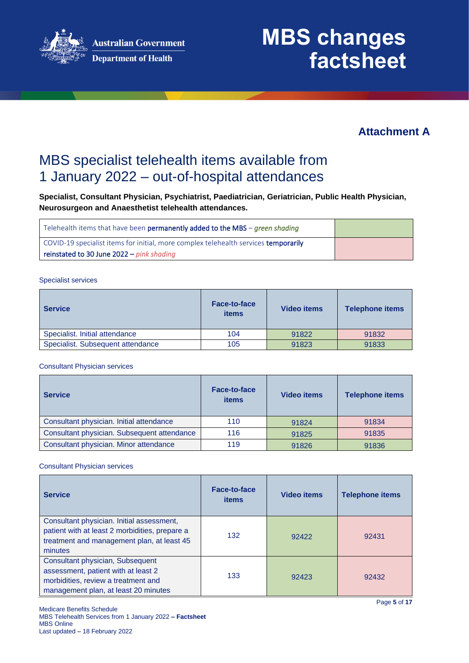

### **Attachment A**

## MBS specialist telehealth items available from 1 January 2022 – out-of-hospital attendances

**Specialist, Consultant Physician, Psychiatrist, Paediatrician, Geriatrician, Public Health Physician, Neurosurgeon and Anaesthetist telehealth attendances.**

| Telehealth items that have been <b>permanently added to the MBS</b> – <i>green shading</i> |  |
|--------------------------------------------------------------------------------------------|--|
| COVID-19 specialist items for initial, more complex telehealth services temporarily        |  |
| reinstated to 30 June $2022 - pink$ shading                                                |  |

Specialist services

| <b>Service</b>                    | <b>Face-to-face</b><br><b>items</b> | <b>Video items</b> | <b>Telephone items</b> |
|-----------------------------------|-------------------------------------|--------------------|------------------------|
| Specialist. Initial attendance    | 104                                 | 91822              | 91832                  |
| Specialist. Subsequent attendance | 105                                 | 91823              | 91833                  |

Consultant Physician services

| <b>Service</b>                              | Face-to-face<br>items | <b>Video items</b> | <b>Telephone items</b> |
|---------------------------------------------|-----------------------|--------------------|------------------------|
| Consultant physician. Initial attendance    | 110                   | 91824              | 91834                  |
| Consultant physician. Subsequent attendance | 116                   | 91825              | 91835                  |
| Consultant physician. Minor attendance      | 119                   | 91826              | 91836                  |

Consultant Physician services

| <b>Service</b>                                                                                                                                         | Face-to-face<br>items | <b>Video items</b> | <b>Telephone items</b> |
|--------------------------------------------------------------------------------------------------------------------------------------------------------|-----------------------|--------------------|------------------------|
| Consultant physician. Initial assessment,<br>patient with at least 2 morbidities, prepare a<br>treatment and management plan, at least 45<br>minutes   | 132                   | 92422              | 92431                  |
| Consultant physician, Subsequent<br>assessment, patient with at least 2<br>morbidities, review a treatment and<br>management plan, at least 20 minutes | 133                   | 92423              | 92432                  |

Page **5** of **17**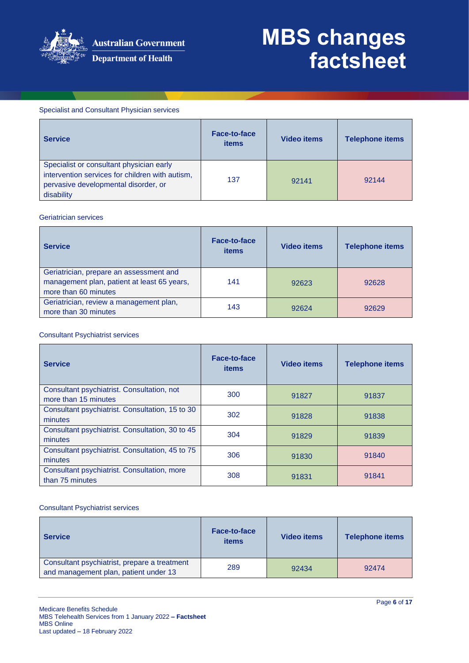

#### Specialist and Consultant Physician services

| <b>Service</b>                                                                                                                                    | Face-to-face<br>items | <b>Video items</b> | <b>Telephone items</b> |
|---------------------------------------------------------------------------------------------------------------------------------------------------|-----------------------|--------------------|------------------------|
| Specialist or consultant physician early<br>intervention services for children with autism,<br>pervasive developmental disorder, or<br>disability | 137                   | 92141              | 92144                  |

#### Geriatrician services

| <b>Service</b>                                                                                                 | Face-to-face<br><b>items</b> | <b>Video items</b> | <b>Telephone items</b> |
|----------------------------------------------------------------------------------------------------------------|------------------------------|--------------------|------------------------|
| Geriatrician, prepare an assessment and<br>management plan, patient at least 65 years,<br>more than 60 minutes | 141                          | 92623              | 92628                  |
| Geriatrician, review a management plan,<br>more than 30 minutes                                                | 143                          | 92624              | 92629                  |

#### Consultant Psychiatrist services

| <b>Service</b>                                                     | <b>Face-to-face</b><br>items | <b>Video items</b> | <b>Telephone items</b> |
|--------------------------------------------------------------------|------------------------------|--------------------|------------------------|
| Consultant psychiatrist. Consultation, not<br>more than 15 minutes | 300                          | 91827              | 91837                  |
| Consultant psychiatrist. Consultation, 15 to 30<br>minutes         | 302                          | 91828              | 91838                  |
| Consultant psychiatrist. Consultation, 30 to 45<br>minutes         | 304                          | 91829              | 91839                  |
| Consultant psychiatrist. Consultation, 45 to 75<br>minutes         | 306                          | 91830              | 91840                  |
| Consultant psychiatrist. Consultation, more<br>than 75 minutes     | 308                          | 91831              | 91841                  |

#### Consultant Psychiatrist services

| <b>Service</b>                                                                        | Face-to-face<br>items | <b>Video items</b> | <b>Telephone items</b> |
|---------------------------------------------------------------------------------------|-----------------------|--------------------|------------------------|
| Consultant psychiatrist, prepare a treatment<br>and management plan, patient under 13 | 289                   | 92434              | 92474                  |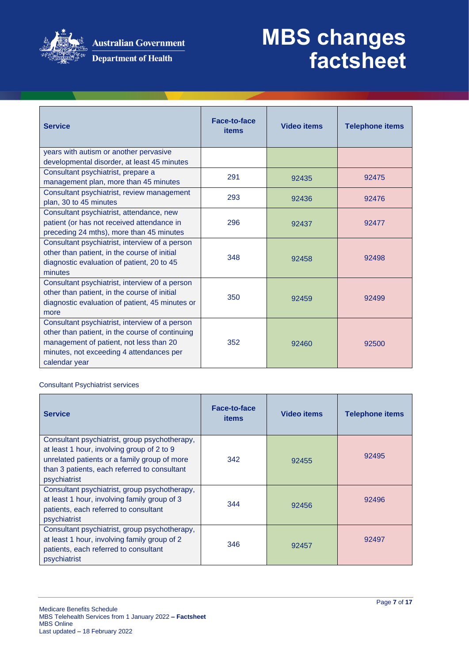

### **Department of Health**

# **MBS changes factsheet**

| <b>Service</b>                                                                                                                                                                                            | <b>Face-to-face</b><br><b>items</b> | <b>Video items</b> | <b>Telephone items</b> |
|-----------------------------------------------------------------------------------------------------------------------------------------------------------------------------------------------------------|-------------------------------------|--------------------|------------------------|
| years with autism or another pervasive<br>developmental disorder, at least 45 minutes                                                                                                                     |                                     |                    |                        |
| Consultant psychiatrist, prepare a<br>management plan, more than 45 minutes                                                                                                                               | 291                                 | 92435              | 92475                  |
| Consultant psychiatrist, review management<br>plan, 30 to 45 minutes                                                                                                                                      | 293                                 | 92436              | 92476                  |
| Consultant psychiatrist, attendance, new<br>patient (or has not received attendance in<br>preceding 24 mths), more than 45 minutes                                                                        | 296                                 | 92437              | 92477                  |
| Consultant psychiatrist, interview of a person<br>other than patient, in the course of initial<br>diagnostic evaluation of patient, 20 to 45<br>minutes                                                   | 348                                 | 92458              | 92498                  |
| Consultant psychiatrist, interview of a person<br>other than patient, in the course of initial<br>diagnostic evaluation of patient, 45 minutes or<br>more                                                 | 350                                 | 92459              | 92499                  |
| Consultant psychiatrist, interview of a person<br>other than patient, in the course of continuing<br>management of patient, not less than 20<br>minutes, not exceeding 4 attendances per<br>calendar year | 352                                 | 92460              | 92500                  |

Consultant Psychiatrist services

| <b>Service</b>                                                                                                                                                                                              | Face-to-face<br><b>items</b> | <b>Video items</b> | <b>Telephone items</b> |
|-------------------------------------------------------------------------------------------------------------------------------------------------------------------------------------------------------------|------------------------------|--------------------|------------------------|
| Consultant psychiatrist, group psychotherapy,<br>at least 1 hour, involving group of 2 to 9<br>unrelated patients or a family group of more<br>than 3 patients, each referred to consultant<br>psychiatrist | 342                          | 92455              | 92495                  |
| Consultant psychiatrist, group psychotherapy,<br>at least 1 hour, involving family group of 3<br>patients, each referred to consultant<br>psychiatrist                                                      | 344                          | 92456              | 92496                  |
| Consultant psychiatrist, group psychotherapy,<br>at least 1 hour, involving family group of 2<br>patients, each referred to consultant<br>psychiatrist                                                      | 346                          | 92457              | 92497                  |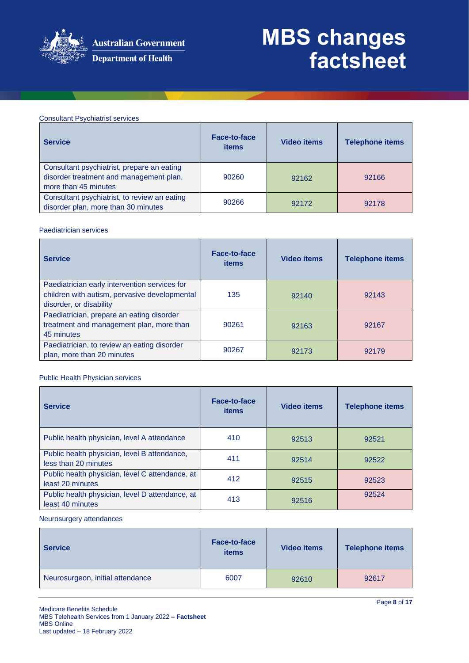

#### Consultant Psychiatrist services

| <b>Service</b>                                                                                                | <b>Face-to-face</b><br>items | <b>Video items</b> | <b>Telephone items</b> |
|---------------------------------------------------------------------------------------------------------------|------------------------------|--------------------|------------------------|
| Consultant psychiatrist, prepare an eating<br>disorder treatment and management plan,<br>more than 45 minutes | 90260                        | 92162              | 92166                  |
| Consultant psychiatrist, to review an eating<br>disorder plan, more than 30 minutes                           | 90266                        | 92172              | 92178                  |

#### Paediatrician services

| <b>Service</b>                                                                                                            | Face-to-face<br><b>items</b> | <b>Video items</b> | <b>Telephone items</b> |
|---------------------------------------------------------------------------------------------------------------------------|------------------------------|--------------------|------------------------|
| Paediatrician early intervention services for<br>children with autism, pervasive developmental<br>disorder, or disability | 135                          | 92140              | 92143                  |
| Paediatrician, prepare an eating disorder<br>treatment and management plan, more than<br>45 minutes                       | 90261                        | 92163              | 92167                  |
| Paediatrician, to review an eating disorder<br>plan, more than 20 minutes                                                 | 90267                        | 92173              | 92179                  |

#### Public Health Physician services

| <b>Service</b>                                                       | <b>Face-to-face</b><br><b>items</b> | <b>Video items</b> | <b>Telephone items</b> |
|----------------------------------------------------------------------|-------------------------------------|--------------------|------------------------|
| Public health physician, level A attendance                          | 410                                 | 92513              | 92521                  |
| Public health physician, level B attendance,<br>less than 20 minutes | 411                                 | 92514              | 92522                  |
| Public health physician, level C attendance, at<br>least 20 minutes  | 412                                 | 92515              | 92523                  |
| Public health physician, level D attendance, at<br>least 40 minutes  | 413                                 | 92516              | 92524                  |

#### Neurosurgery attendances

| <b>Service</b>                   | <b>Face-to-face</b><br>items | <b>Video items</b> | <b>Telephone items</b> |
|----------------------------------|------------------------------|--------------------|------------------------|
| Neurosurgeon, initial attendance | 6007                         | 92610              | 92617                  |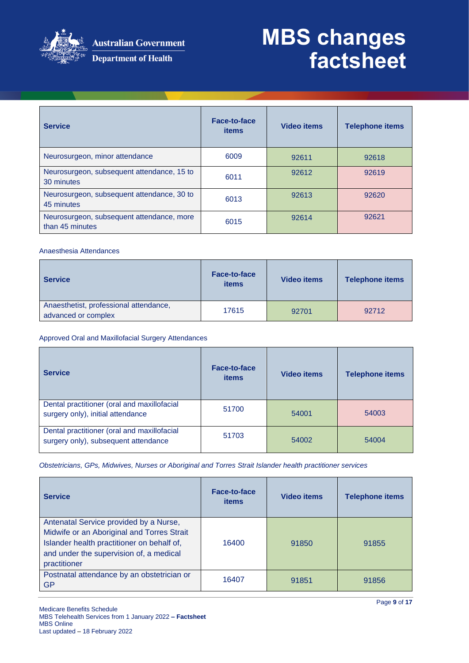

| <b>Service</b>                                               | <b>Face-to-face</b><br>items | <b>Video items</b> | <b>Telephone items</b> |
|--------------------------------------------------------------|------------------------------|--------------------|------------------------|
| Neurosurgeon, minor attendance                               | 6009                         | 92611              | 92618                  |
| Neurosurgeon, subsequent attendance, 15 to<br>30 minutes     | 6011                         | 92612              | 92619                  |
| Neurosurgeon, subsequent attendance, 30 to<br>45 minutes     | 6013                         | 92613              | 92620                  |
| Neurosurgeon, subsequent attendance, more<br>than 45 minutes | 6015                         | 92614              | 92621                  |

#### Anaesthesia Attendances

| <b>Service</b>                                                | <b>Face-to-face</b><br>items | <b>Video items</b> | <b>Telephone items</b> |
|---------------------------------------------------------------|------------------------------|--------------------|------------------------|
| Anaesthetist, professional attendance,<br>advanced or complex | 17615                        | 92701              | 92712                  |

#### Approved Oral and Maxillofacial Surgery Attendances

| <b>Service</b>                                                                      | Face-to-face<br><b>items</b> | <b>Video items</b> | <b>Telephone items</b> |
|-------------------------------------------------------------------------------------|------------------------------|--------------------|------------------------|
| Dental practitioner (oral and maxillofacial<br>surgery only), initial attendance    | 51700                        | 54001              | 54003                  |
| Dental practitioner (oral and maxillofacial<br>surgery only), subsequent attendance | 51703                        | 54002              | 54004                  |

*Obstetricians, GPs, Midwives, Nurses or Aboriginal and Torres Strait Islander health practitioner services*

| <b>Service</b>                                                                                                                                                                                | Face-to-face<br>items | <b>Video items</b> | <b>Telephone items</b> |
|-----------------------------------------------------------------------------------------------------------------------------------------------------------------------------------------------|-----------------------|--------------------|------------------------|
| Antenatal Service provided by a Nurse,<br>Midwife or an Aboriginal and Torres Strait<br>Islander health practitioner on behalf of,<br>and under the supervision of, a medical<br>practitioner | 16400                 | 91850              | 91855                  |
| Postnatal attendance by an obstetrician or<br><b>GP</b>                                                                                                                                       | 16407                 | 91851              | 91856                  |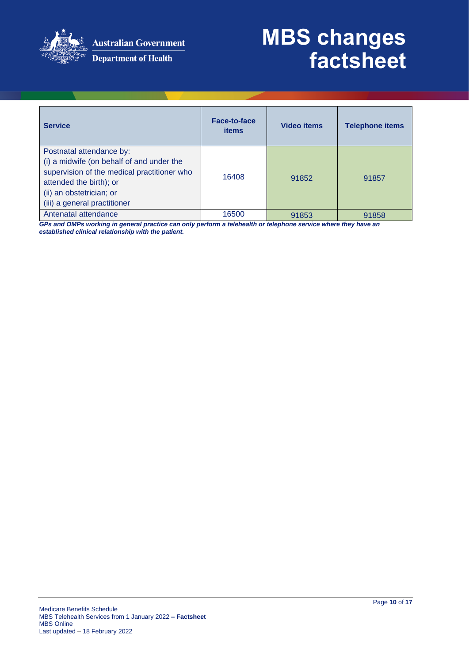

**Australian Government** 

# **MBS changes factsheet**

|  | <b>Department of Health</b> |  |
|--|-----------------------------|--|
|--|-----------------------------|--|

| <b>Service</b>                                                                                                                                                                                              | Face-to-face<br><b>items</b> | <b>Video items</b> | <b>Telephone items</b> |
|-------------------------------------------------------------------------------------------------------------------------------------------------------------------------------------------------------------|------------------------------|--------------------|------------------------|
| Postnatal attendance by:<br>(i) a midwife (on behalf of and under the<br>supervision of the medical practitioner who<br>attended the birth); or<br>(ii) an obstetrician; or<br>(iii) a general practitioner | 16408                        | 91852              | 91857                  |
| Antenatal attendance                                                                                                                                                                                        | 16500                        | 91853              | 91858                  |

*GPs and OMPs working in general practice can only perform a telehealth or telephone service where they have an established clinical relationship with the patient.*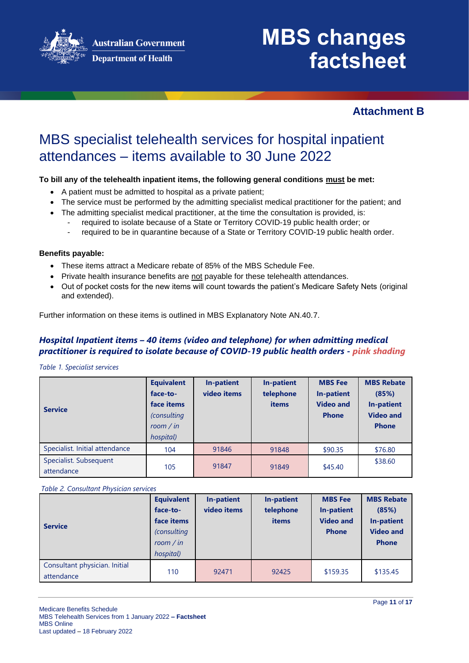**Australian Government** 

**Department of Health** 

# **MBS changes factsheet**

### **Attachment B**

## MBS specialist telehealth services for hospital inpatient attendances – items available to 30 June 2022

#### **To bill any of the telehealth inpatient items, the following general conditions must be met:**

- A patient must be admitted to hospital as a private patient;
- The service must be performed by the admitting specialist medical practitioner for the patient; and
- The admitting specialist medical practitioner, at the time the consultation is provided, is:
	- required to isolate because of a State or Territory COVID-19 public health order; or
	- required to be in quarantine because of a State or Territory COVID-19 public health order.

#### **Benefits payable:**

- These items attract a Medicare rebate of 85% of the MBS Schedule Fee.
- Private health insurance benefits are not payable for these telehealth attendances.
- Out of pocket costs for the new items will count towards the patient's Medicare Safety Nets (original and extended).

Further information on these items is outlined in MBS Explanatory Note AN.40.7.

#### *Hospital Inpatient items – 40 items (video and telephone) for when admitting medical practitioner is required to isolate because of COVID-19 public health orders - pink shading*

*Table 1. Specialist services*

| <b>Service</b>                       | <b>Equivalent</b><br>face-to-<br>face items<br><i>(consulting</i><br>room / in<br>hospital) | In-patient<br>video items | In-patient<br>telephone<br>items | <b>MBS</b> Fee<br>In-patient<br><b>Video and</b><br><b>Phone</b> | <b>MBS Rebate</b><br>(85%)<br>In-patient<br><b>Video and</b><br><b>Phone</b> |
|--------------------------------------|---------------------------------------------------------------------------------------------|---------------------------|----------------------------------|------------------------------------------------------------------|------------------------------------------------------------------------------|
| Specialist. Initial attendance       | 104                                                                                         | 91846                     | 91848                            | \$90.35                                                          | \$76.80                                                                      |
| Specialist. Subsequent<br>attendance | 105                                                                                         | 91847                     | 91849                            | \$45.40                                                          | \$38.60                                                                      |

*Table 2. Consultant Physician services*

| <b>Service</b>                              | <b>Equivalent</b><br>face-to-<br>face items<br>(consulting<br>room / in<br>hospital) | In-patient<br>video items | In-patient<br>telephone<br>items | <b>MBS</b> Fee<br><b>In-patient</b><br><b>Video and</b><br><b>Phone</b> | <b>MBS Rebate</b><br>(85%)<br><b>In-patient</b><br><b>Video and</b><br><b>Phone</b> |
|---------------------------------------------|--------------------------------------------------------------------------------------|---------------------------|----------------------------------|-------------------------------------------------------------------------|-------------------------------------------------------------------------------------|
| Consultant physician. Initial<br>attendance | 110                                                                                  | 92471                     | 92425                            | \$159.35                                                                | \$135.45                                                                            |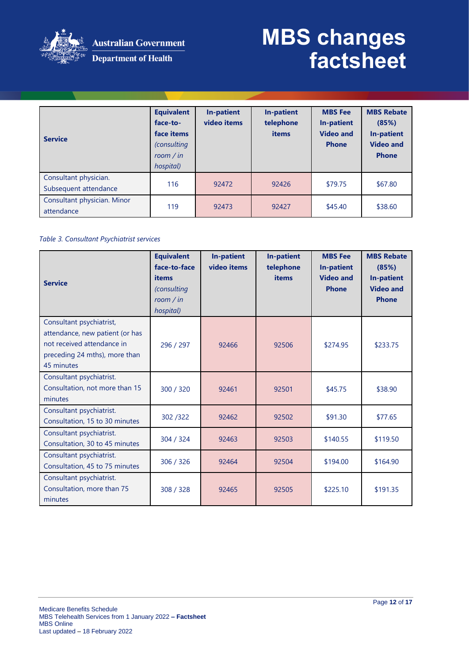

Australian Government **Department of Health** 

## **MBS changes factsheet**

| <b>Service</b>                                 | <b>Equivalent</b><br>face-to-<br>face items<br><i>(consulting</i><br>room / in<br>hospital) | In-patient<br>video items | <b>In-patient</b><br>telephone<br>items | <b>MBS</b> Fee<br>In-patient<br><b>Video and</b><br><b>Phone</b> | <b>MBS Rebate</b><br>(85%)<br>In-patient<br><b>Video and</b><br><b>Phone</b> |
|------------------------------------------------|---------------------------------------------------------------------------------------------|---------------------------|-----------------------------------------|------------------------------------------------------------------|------------------------------------------------------------------------------|
| Consultant physician.<br>Subsequent attendance | 116                                                                                         | 92472                     | 92426                                   | \$79.75                                                          | \$67.80                                                                      |
| Consultant physician. Minor<br>attendance      | 119                                                                                         | 92473                     | 92427                                   | \$45.40                                                          | \$38.60                                                                      |

#### *Table 3. Consultant Psychiatrist services*

|                                 | <b>Equivalent</b><br>face-to-face | <b>In-patient</b><br>video items | <b>In-patient</b>  | <b>MBS</b> Fee                        | <b>MBS Rebate</b>          |
|---------------------------------|-----------------------------------|----------------------------------|--------------------|---------------------------------------|----------------------------|
|                                 | items                             |                                  | telephone<br>items | <b>In-patient</b><br><b>Video and</b> | (85%)<br><b>In-patient</b> |
| <b>Service</b>                  | (consulting                       |                                  |                    | <b>Phone</b>                          | <b>Video and</b>           |
|                                 | room / in                         |                                  |                    |                                       | <b>Phone</b>               |
|                                 | hospital)                         |                                  |                    |                                       |                            |
| Consultant psychiatrist,        |                                   |                                  |                    |                                       |                            |
| attendance, new patient (or has |                                   |                                  |                    |                                       |                            |
| not received attendance in      | 296 / 297                         | 92466                            | 92506              | \$274.95                              | \$233.75                   |
| preceding 24 mths), more than   |                                   |                                  |                    |                                       |                            |
| 45 minutes                      |                                   |                                  |                    |                                       |                            |
| Consultant psychiatrist.        |                                   |                                  |                    |                                       |                            |
| Consultation, not more than 15  | 300 / 320                         | 92461                            | 92501              | \$45.75                               | \$38.90                    |
| minutes                         |                                   |                                  |                    |                                       |                            |
| Consultant psychiatrist.        | 302/322                           | 92462                            | 92502              | \$91.30                               | \$77.65                    |
| Consultation, 15 to 30 minutes  |                                   |                                  |                    |                                       |                            |
| Consultant psychiatrist.        | 304 / 324                         | 92463                            | 92503              | \$140.55                              | \$119.50                   |
| Consultation, 30 to 45 minutes  |                                   |                                  |                    |                                       |                            |
| Consultant psychiatrist.        | 306 / 326                         | 92464                            | 92504              | \$194.00                              | \$164.90                   |
| Consultation, 45 to 75 minutes  |                                   |                                  |                    |                                       |                            |
| Consultant psychiatrist.        |                                   |                                  |                    |                                       |                            |
| Consultation, more than 75      | 308 / 328                         | 92465                            | 92505              | \$225.10                              | \$191.35                   |
| minutes                         |                                   |                                  |                    |                                       |                            |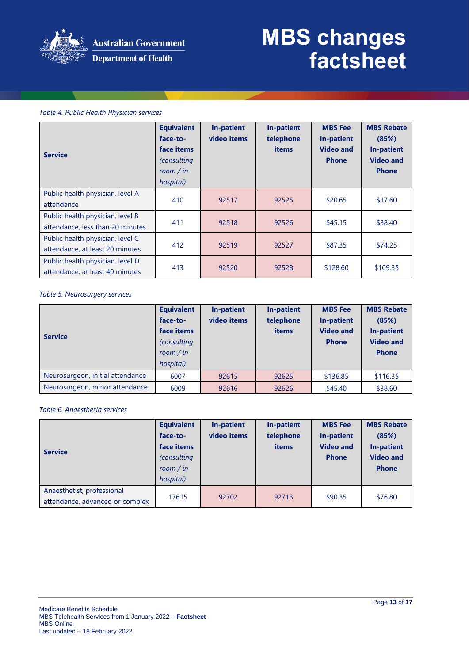

#### *Table 4. Public Health Physician services*

| <b>Service</b>                                                       | <b>Equivalent</b><br>face-to-<br>face items<br>(consulting<br>room / in<br>hospital) | In-patient<br>video items | In-patient<br>telephone<br>items | <b>MBS</b> Fee<br>In-patient<br><b>Video and</b><br><b>Phone</b> | <b>MBS Rebate</b><br>(85%)<br><b>In-patient</b><br><b>Video and</b><br><b>Phone</b> |
|----------------------------------------------------------------------|--------------------------------------------------------------------------------------|---------------------------|----------------------------------|------------------------------------------------------------------|-------------------------------------------------------------------------------------|
| Public health physician, level A<br>attendance                       | 410                                                                                  | 92517                     | 92525                            | \$20.65                                                          | \$17.60                                                                             |
| Public health physician, level B<br>attendance, less than 20 minutes | 411                                                                                  | 92518                     | 92526                            | \$45.15                                                          | \$38.40                                                                             |
| Public health physician, level C<br>attendance, at least 20 minutes  | 412                                                                                  | 92519                     | 92527                            | \$87.35                                                          | \$74.25                                                                             |
| Public health physician, level D<br>attendance, at least 40 minutes  | 413                                                                                  | 92520                     | 92528                            | \$128.60                                                         | \$109.35                                                                            |

#### *Table 5. Neurosurgery services*

| <b>Service</b>                   | <b>Equivalent</b><br>face-to-<br>face items<br>(consulting<br>room / in<br>hospital) | In-patient<br>video items | <b>In-patient</b><br>telephone<br>items | <b>MBS</b> Fee<br><b>In-patient</b><br><b>Video and</b><br><b>Phone</b> | <b>MBS Rebate</b><br>(85%)<br><b>In-patient</b><br><b>Video and</b><br><b>Phone</b> |
|----------------------------------|--------------------------------------------------------------------------------------|---------------------------|-----------------------------------------|-------------------------------------------------------------------------|-------------------------------------------------------------------------------------|
| Neurosurgeon, initial attendance | 6007                                                                                 | 92615                     | 92625                                   | \$136.85                                                                | \$116.35                                                                            |
| Neurosurgeon, minor attendance   | 6009                                                                                 | 92616                     | 92626                                   | \$45.40                                                                 | \$38.60                                                                             |

#### *Table 6. Anaesthesia services*

| <b>Service</b>                                                | <b>Equivalent</b><br>face-to-<br>face items<br><i>(consulting)</i><br>room / $in$<br>hospital) | In-patient<br>video items | In-patient<br>telephone<br><b>items</b> | <b>MBS</b> Fee<br>In-patient<br><b>Video and</b><br><b>Phone</b> | <b>MBS Rebate</b><br>(85%)<br><b>In-patient</b><br><b>Video and</b><br><b>Phone</b> |
|---------------------------------------------------------------|------------------------------------------------------------------------------------------------|---------------------------|-----------------------------------------|------------------------------------------------------------------|-------------------------------------------------------------------------------------|
| Anaesthetist, professional<br>attendance, advanced or complex | 17615                                                                                          | 92702                     | 92713                                   | \$90.35                                                          | \$76.80                                                                             |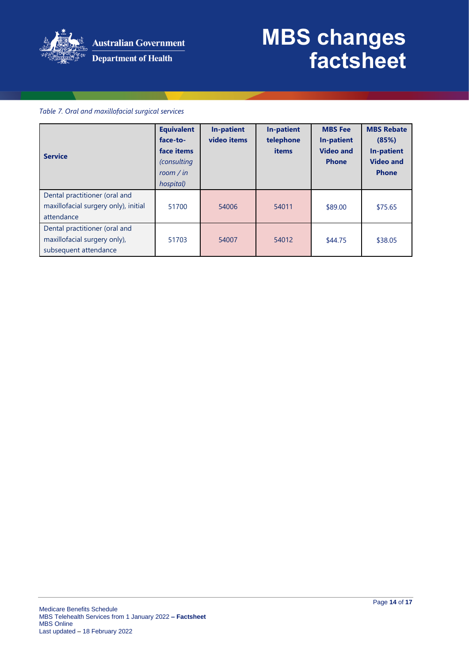

#### *Table 7. Oral and maxillofacial surgical services*

| <b>Service</b>                                                                         | <b>Equivalent</b><br>face-to-<br>face items<br><i>(consulting)</i><br>room / in<br>hospital) | <b>In-patient</b><br>video items | In-patient<br>telephone<br>items | <b>MBS Fee</b><br><b>In-patient</b><br><b>Video and</b><br><b>Phone</b> | <b>MBS Rebate</b><br>(85%)<br><b>In-patient</b><br><b>Video and</b><br><b>Phone</b> |
|----------------------------------------------------------------------------------------|----------------------------------------------------------------------------------------------|----------------------------------|----------------------------------|-------------------------------------------------------------------------|-------------------------------------------------------------------------------------|
| Dental practitioner (oral and<br>maxillofacial surgery only), initial<br>attendance    | 51700                                                                                        | 54006                            | 54011                            | \$89.00                                                                 | \$75.65                                                                             |
| Dental practitioner (oral and<br>maxillofacial surgery only),<br>subsequent attendance | 51703                                                                                        | 54007                            | 54012                            | \$44.75                                                                 | \$38.05                                                                             |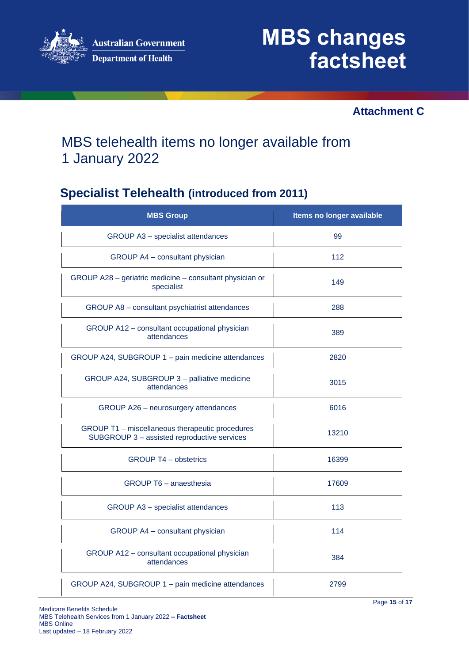

### **Attachment C**

## MBS telehealth items no longer available from 1 January 2022

## **Specialist Telehealth (introduced from 2011)**

| <b>MBS Group</b>                                                                               | Items no longer available |
|------------------------------------------------------------------------------------------------|---------------------------|
| GROUP A3 - specialist attendances                                                              | 99                        |
| GROUP A4 - consultant physician                                                                | 112                       |
| GROUP A28 - geriatric medicine - consultant physician or<br>specialist                         | 149                       |
| GROUP A8 - consultant psychiatrist attendances                                                 | 288                       |
| GROUP A12 - consultant occupational physician<br>attendances                                   | 389                       |
| GROUP A24, SUBGROUP 1 - pain medicine attendances                                              | 2820                      |
| GROUP A24, SUBGROUP 3 - palliative medicine<br>attendances                                     | 3015                      |
| GROUP A26 - neurosurgery attendances                                                           | 6016                      |
| GROUP T1 - miscellaneous therapeutic procedures<br>SUBGROUP 3 - assisted reproductive services | 13210                     |
| <b>GROUP T4 - obstetrics</b>                                                                   | 16399                     |
| <b>GROUP T6 - anaesthesia</b>                                                                  | 17609                     |
| GROUP A3 - specialist attendances                                                              | 113                       |
| GROUP A4 - consultant physician                                                                | 114                       |
| GROUP A12 - consultant occupational physician<br>attendances                                   | 384                       |
| GROUP A24, SUBGROUP 1 - pain medicine attendances                                              | 2799                      |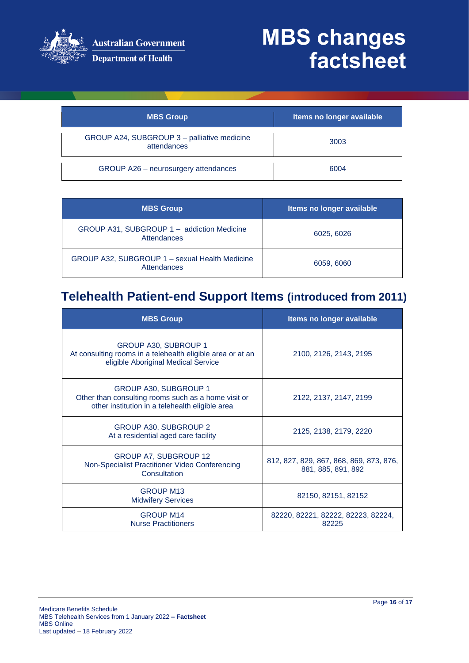

**Australian Government** 

Department of Health

# **MBS changes factsheet**

| <b>MBS Group</b>                                           | Items no longer available |
|------------------------------------------------------------|---------------------------|
| GROUP A24, SUBGROUP 3 - palliative medicine<br>attendances | 3003                      |
| GROUP A26 - neurosurgery attendances                       | 6004                      |

| <b>MBS Group</b>                                              | Items no longer available |
|---------------------------------------------------------------|---------------------------|
| GROUP A31, SUBGROUP 1 - addiction Medicine<br>Attendances     | 6025, 6026                |
| GROUP A32, SUBGROUP 1 - sexual Health Medicine<br>Attendances | 6059, 6060                |

## **Telehealth Patient-end Support Items (introduced from 2011)**

| <b>MBS Group</b>                                                                                                                       | Items no longer available                                     |
|----------------------------------------------------------------------------------------------------------------------------------------|---------------------------------------------------------------|
| GROUP A30, SUBROUP 1<br>At consulting rooms in a telehealth eligible area or at an<br>eligible Aboriginal Medical Service              | 2100, 2126, 2143, 2195                                        |
| <b>GROUP A30, SUBGROUP 1</b><br>Other than consulting rooms such as a home visit or<br>other institution in a telehealth eligible area | 2122, 2137, 2147, 2199                                        |
| GROUP A30, SUBGROUP 2<br>At a residential aged care facility                                                                           | 2125, 2138, 2179, 2220                                        |
| <b>GROUP A7, SUBGROUP 12</b><br>Non-Specialist Practitioner Video Conferencing<br>Consultation                                         | 812, 827, 829, 867, 868, 869, 873, 876,<br>881, 885, 891, 892 |
| <b>GROUP M13</b><br><b>Midwifery Services</b>                                                                                          | 82150, 82151, 82152                                           |
| <b>GROUP M14</b><br><b>Nurse Practitioners</b>                                                                                         | 82220, 82221, 82222, 82223, 82224,<br>82225                   |